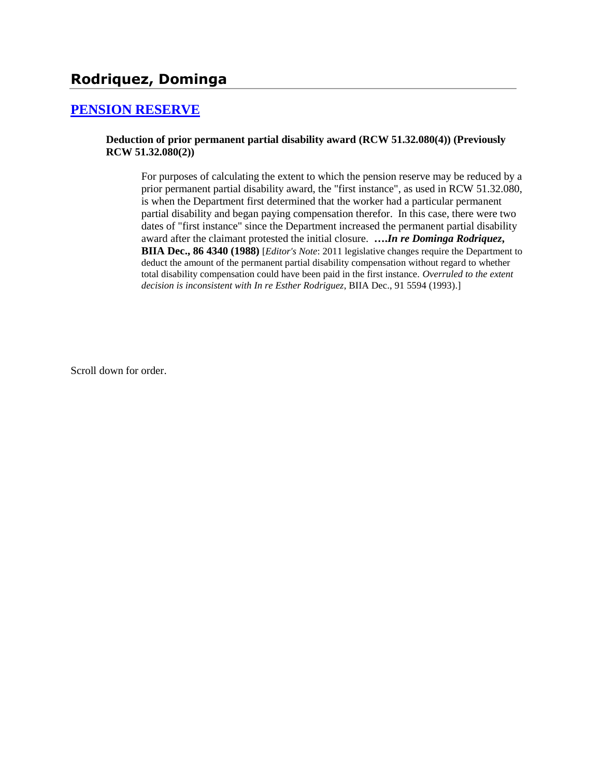# **Rodriquez, Dominga**

### **[PENSION RESERVE](http://www.biia.wa.gov/SDSubjectIndex.html#PENSION_RESERVE)**

### **Deduction of prior permanent partial disability award (RCW 51.32.080(4)) (Previously RCW 51.32.080(2))**

For purposes of calculating the extent to which the pension reserve may be reduced by a prior permanent partial disability award, the "first instance", as used in RCW 51.32.080, is when the Department first determined that the worker had a particular permanent partial disability and began paying compensation therefor. In this case, there were two dates of "first instance" since the Department increased the permanent partial disability award after the claimant protested the initial closure. **….***In re Dominga Rodriquez***, BIIA Dec., 86 4340 (1988)** [*Editor's Note*: 2011 legislative changes require the Department to deduct the amount of the permanent partial disability compensation without regard to whether total disability compensation could have been paid in the first instance. *Overruled to the extent decision is inconsistent with In re Esther Rodriguez*, BIIA Dec., 91 5594 (1993).]

Scroll down for order.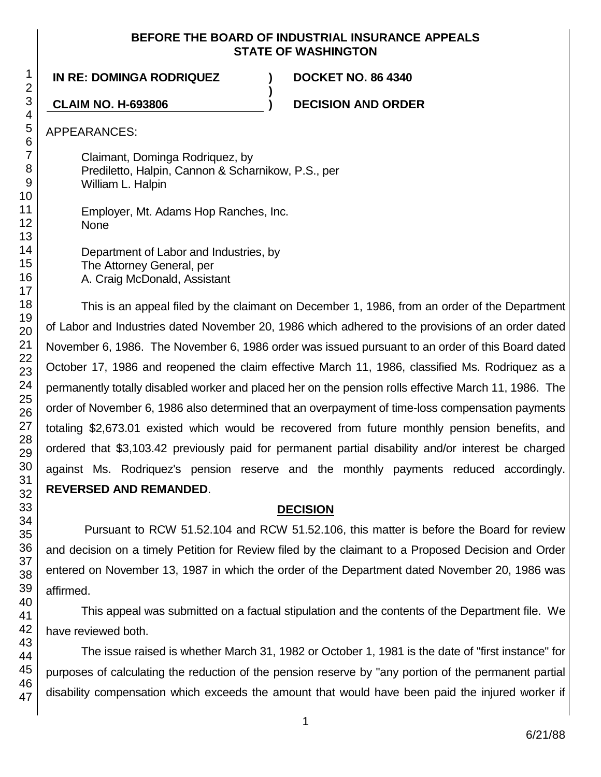### **BEFORE THE BOARD OF INDUSTRIAL INSURANCE APPEALS STATE OF WASHINGTON**

**)**

**IN RE: DOMINGA RODRIQUEZ ) DOCKET NO. 86 4340**

**CLAIM NO. H-693806 ) DECISION AND ORDER**

APPEARANCES:

Claimant, Dominga Rodriquez, by Prediletto, Halpin, Cannon & Scharnikow, P.S., per William L. Halpin

Employer, Mt. Adams Hop Ranches, Inc. None

Department of Labor and Industries, by The Attorney General, per A. Craig McDonald, Assistant

This is an appeal filed by the claimant on December 1, 1986, from an order of the Department of Labor and Industries dated November 20, 1986 which adhered to the provisions of an order dated November 6, 1986. The November 6, 1986 order was issued pursuant to an order of this Board dated October 17, 1986 and reopened the claim effective March 11, 1986, classified Ms. Rodriquez as a permanently totally disabled worker and placed her on the pension rolls effective March 11, 1986. The order of November 6, 1986 also determined that an overpayment of time-loss compensation payments totaling \$2,673.01 existed which would be recovered from future monthly pension benefits, and ordered that \$3,103.42 previously paid for permanent partial disability and/or interest be charged against Ms. Rodriquez's pension reserve and the monthly payments reduced accordingly. **REVERSED AND REMANDED**.

# **DECISION**

Pursuant to RCW 51.52.104 and RCW 51.52.106, this matter is before the Board for review and decision on a timely Petition for Review filed by the claimant to a Proposed Decision and Order entered on November 13, 1987 in which the order of the Department dated November 20, 1986 was affirmed.

This appeal was submitted on a factual stipulation and the contents of the Department file. We have reviewed both.

The issue raised is whether March 31, 1982 or October 1, 1981 is the date of "first instance" for purposes of calculating the reduction of the pension reserve by "any portion of the permanent partial disability compensation which exceeds the amount that would have been paid the injured worker if

1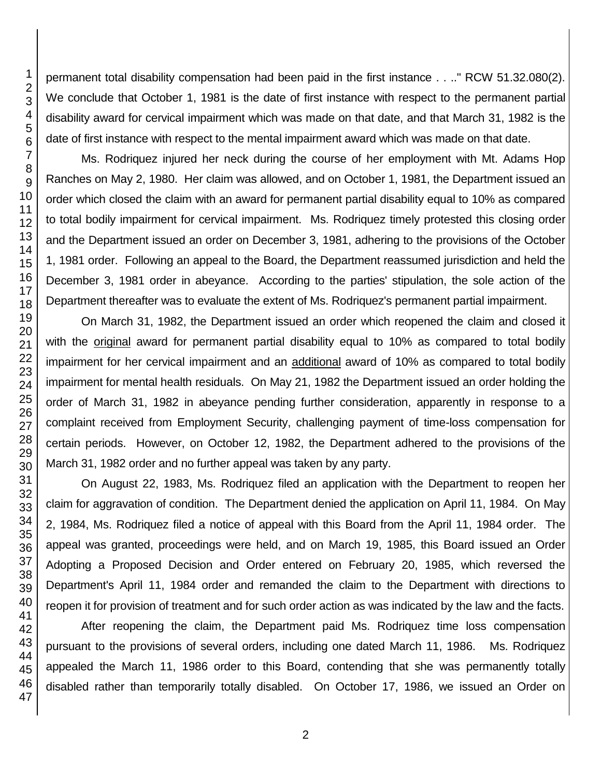permanent total disability compensation had been paid in the first instance . . .." RCW 51.32.080(2). We conclude that October 1, 1981 is the date of first instance with respect to the permanent partial disability award for cervical impairment which was made on that date, and that March 31, 1982 is the date of first instance with respect to the mental impairment award which was made on that date.

Ms. Rodriquez injured her neck during the course of her employment with Mt. Adams Hop Ranches on May 2, 1980. Her claim was allowed, and on October 1, 1981, the Department issued an order which closed the claim with an award for permanent partial disability equal to 10% as compared to total bodily impairment for cervical impairment. Ms. Rodriquez timely protested this closing order and the Department issued an order on December 3, 1981, adhering to the provisions of the October 1, 1981 order. Following an appeal to the Board, the Department reassumed jurisdiction and held the December 3, 1981 order in abeyance. According to the parties' stipulation, the sole action of the Department thereafter was to evaluate the extent of Ms. Rodriquez's permanent partial impairment.

On March 31, 1982, the Department issued an order which reopened the claim and closed it with the original award for permanent partial disability equal to 10% as compared to total bodily impairment for her cervical impairment and an additional award of 10% as compared to total bodily impairment for mental health residuals. On May 21, 1982 the Department issued an order holding the order of March 31, 1982 in abeyance pending further consideration, apparently in response to a complaint received from Employment Security, challenging payment of time-loss compensation for certain periods. However, on October 12, 1982, the Department adhered to the provisions of the March 31, 1982 order and no further appeal was taken by any party.

On August 22, 1983, Ms. Rodriquez filed an application with the Department to reopen her claim for aggravation of condition. The Department denied the application on April 11, 1984. On May 2, 1984, Ms. Rodriquez filed a notice of appeal with this Board from the April 11, 1984 order. The appeal was granted, proceedings were held, and on March 19, 1985, this Board issued an Order Adopting a Proposed Decision and Order entered on February 20, 1985, which reversed the Department's April 11, 1984 order and remanded the claim to the Department with directions to reopen it for provision of treatment and for such order action as was indicated by the law and the facts.

After reopening the claim, the Department paid Ms. Rodriquez time loss compensation pursuant to the provisions of several orders, including one dated March 11, 1986. Ms. Rodriquez appealed the March 11, 1986 order to this Board, contending that she was permanently totally disabled rather than temporarily totally disabled. On October 17, 1986, we issued an Order on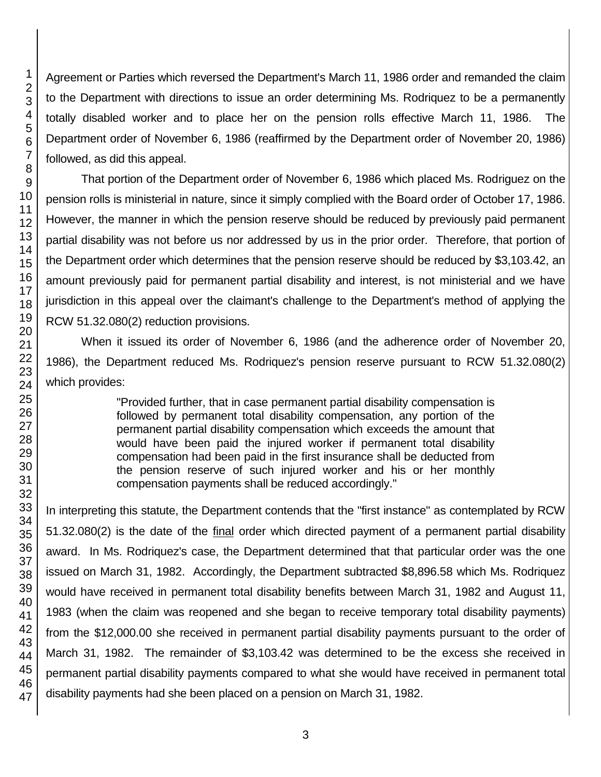Agreement or Parties which reversed the Department's March 11, 1986 order and remanded the claim to the Department with directions to issue an order determining Ms. Rodriquez to be a permanently totally disabled worker and to place her on the pension rolls effective March 11, 1986. The Department order of November 6, 1986 (reaffirmed by the Department order of November 20, 1986) followed, as did this appeal.

That portion of the Department order of November 6, 1986 which placed Ms. Rodriguez on the pension rolls is ministerial in nature, since it simply complied with the Board order of October 17, 1986. However, the manner in which the pension reserve should be reduced by previously paid permanent partial disability was not before us nor addressed by us in the prior order. Therefore, that portion of the Department order which determines that the pension reserve should be reduced by \$3,103.42, an amount previously paid for permanent partial disability and interest, is not ministerial and we have jurisdiction in this appeal over the claimant's challenge to the Department's method of applying the RCW 51.32.080(2) reduction provisions.

When it issued its order of November 6, 1986 (and the adherence order of November 20, 1986), the Department reduced Ms. Rodriquez's pension reserve pursuant to RCW 51.32.080(2) which provides:

> "Provided further, that in case permanent partial disability compensation is followed by permanent total disability compensation, any portion of the permanent partial disability compensation which exceeds the amount that would have been paid the injured worker if permanent total disability compensation had been paid in the first insurance shall be deducted from the pension reserve of such injured worker and his or her monthly compensation payments shall be reduced accordingly."

In interpreting this statute, the Department contends that the "first instance" as contemplated by RCW 51.32.080(2) is the date of the final order which directed payment of a permanent partial disability award. In Ms. Rodriquez's case, the Department determined that that particular order was the one issued on March 31, 1982. Accordingly, the Department subtracted \$8,896.58 which Ms. Rodriquez would have received in permanent total disability benefits between March 31, 1982 and August 11, 1983 (when the claim was reopened and she began to receive temporary total disability payments) from the \$12,000.00 she received in permanent partial disability payments pursuant to the order of March 31, 1982. The remainder of \$3,103.42 was determined to be the excess she received in permanent partial disability payments compared to what she would have received in permanent total disability payments had she been placed on a pension on March 31, 1982.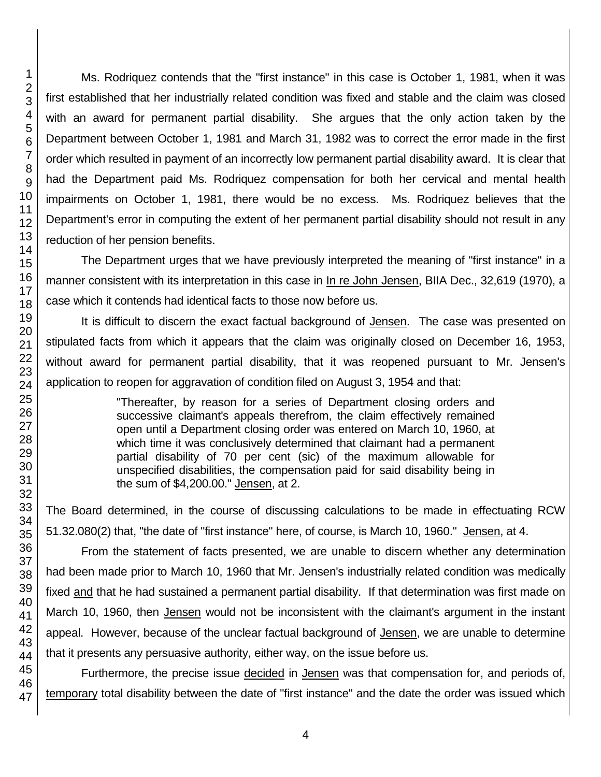Ms. Rodriquez contends that the "first instance" in this case is October 1, 1981, when it was first established that her industrially related condition was fixed and stable and the claim was closed with an award for permanent partial disability. She argues that the only action taken by the Department between October 1, 1981 and March 31, 1982 was to correct the error made in the first order which resulted in payment of an incorrectly low permanent partial disability award. It is clear that had the Department paid Ms. Rodriquez compensation for both her cervical and mental health impairments on October 1, 1981, there would be no excess. Ms. Rodriquez believes that the Department's error in computing the extent of her permanent partial disability should not result in any reduction of her pension benefits.

The Department urges that we have previously interpreted the meaning of "first instance" in a manner consistent with its interpretation in this case in In re John Jensen, BIIA Dec., 32,619 (1970), a case which it contends had identical facts to those now before us.

It is difficult to discern the exact factual background of Jensen. The case was presented on stipulated facts from which it appears that the claim was originally closed on December 16, 1953, without award for permanent partial disability, that it was reopened pursuant to Mr. Jensen's application to reopen for aggravation of condition filed on August 3, 1954 and that:

> "Thereafter, by reason for a series of Department closing orders and successive claimant's appeals therefrom, the claim effectively remained open until a Department closing order was entered on March 10, 1960, at which time it was conclusively determined that claimant had a permanent partial disability of 70 per cent (sic) of the maximum allowable for unspecified disabilities, the compensation paid for said disability being in the sum of \$4,200.00." Jensen, at 2.

The Board determined, in the course of discussing calculations to be made in effectuating RCW 51.32.080(2) that, "the date of "first instance" here, of course, is March 10, 1960." Jensen, at 4.

From the statement of facts presented, we are unable to discern whether any determination had been made prior to March 10, 1960 that Mr. Jensen's industrially related condition was medically fixed and that he had sustained a permanent partial disability. If that determination was first made on March 10, 1960, then Jensen would not be inconsistent with the claimant's argument in the instant appeal. However, because of the unclear factual background of Jensen, we are unable to determine that it presents any persuasive authority, either way, on the issue before us.

Furthermore, the precise issue decided in Jensen was that compensation for, and periods of, temporary total disability between the date of "first instance" and the date the order was issued which

1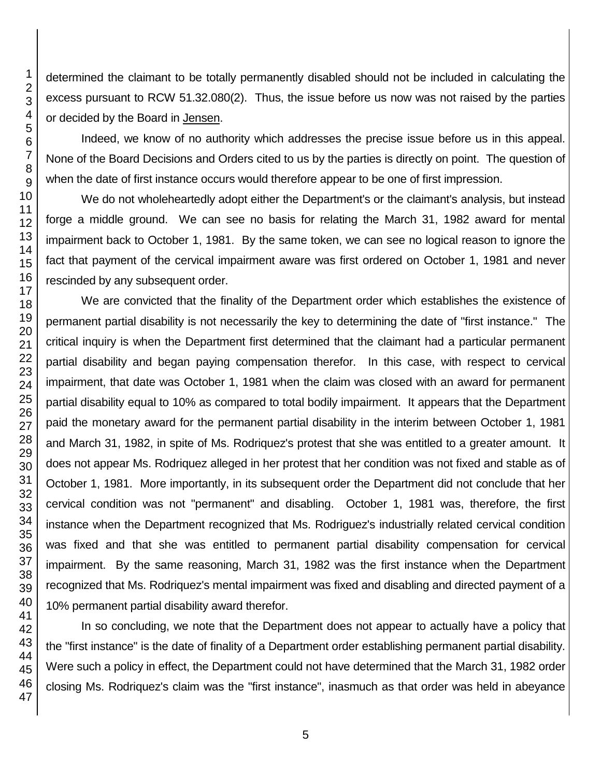determined the claimant to be totally permanently disabled should not be included in calculating the excess pursuant to RCW 51.32.080(2). Thus, the issue before us now was not raised by the parties or decided by the Board in Jensen.

Indeed, we know of no authority which addresses the precise issue before us in this appeal. None of the Board Decisions and Orders cited to us by the parties is directly on point. The question of when the date of first instance occurs would therefore appear to be one of first impression.

We do not wholeheartedly adopt either the Department's or the claimant's analysis, but instead forge a middle ground. We can see no basis for relating the March 31, 1982 award for mental impairment back to October 1, 1981. By the same token, we can see no logical reason to ignore the fact that payment of the cervical impairment aware was first ordered on October 1, 1981 and never rescinded by any subsequent order.

We are convicted that the finality of the Department order which establishes the existence of permanent partial disability is not necessarily the key to determining the date of "first instance." The critical inquiry is when the Department first determined that the claimant had a particular permanent partial disability and began paying compensation therefor. In this case, with respect to cervical impairment, that date was October 1, 1981 when the claim was closed with an award for permanent partial disability equal to 10% as compared to total bodily impairment. It appears that the Department paid the monetary award for the permanent partial disability in the interim between October 1, 1981 and March 31, 1982, in spite of Ms. Rodriquez's protest that she was entitled to a greater amount. It does not appear Ms. Rodriquez alleged in her protest that her condition was not fixed and stable as of October 1, 1981. More importantly, in its subsequent order the Department did not conclude that her cervical condition was not "permanent" and disabling. October 1, 1981 was, therefore, the first instance when the Department recognized that Ms. Rodriguez's industrially related cervical condition was fixed and that she was entitled to permanent partial disability compensation for cervical impairment. By the same reasoning, March 31, 1982 was the first instance when the Department recognized that Ms. Rodriquez's mental impairment was fixed and disabling and directed payment of a 10% permanent partial disability award therefor.

In so concluding, we note that the Department does not appear to actually have a policy that the "first instance" is the date of finality of a Department order establishing permanent partial disability. Were such a policy in effect, the Department could not have determined that the March 31, 1982 order closing Ms. Rodriquez's claim was the "first instance", inasmuch as that order was held in abeyance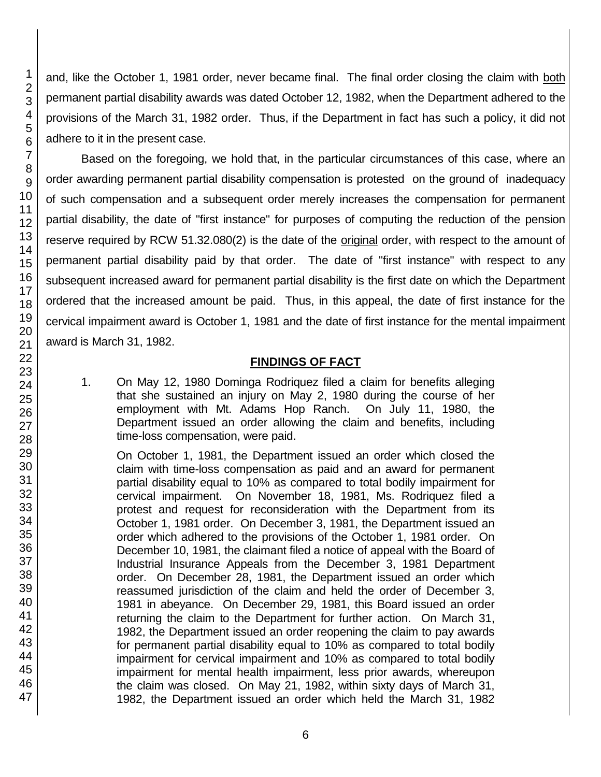47

and, like the October 1, 1981 order, never became final. The final order closing the claim with both permanent partial disability awards was dated October 12, 1982, when the Department adhered to the provisions of the March 31, 1982 order. Thus, if the Department in fact has such a policy, it did not adhere to it in the present case.

Based on the foregoing, we hold that, in the particular circumstances of this case, where an order awarding permanent partial disability compensation is protested on the ground of inadequacy of such compensation and a subsequent order merely increases the compensation for permanent partial disability, the date of "first instance" for purposes of computing the reduction of the pension reserve required by RCW 51.32.080(2) is the date of the original order, with respect to the amount of permanent partial disability paid by that order. The date of "first instance" with respect to any subsequent increased award for permanent partial disability is the first date on which the Department ordered that the increased amount be paid. Thus, in this appeal, the date of first instance for the cervical impairment award is October 1, 1981 and the date of first instance for the mental impairment award is March 31, 1982.

## **FINDINGS OF FACT**

1. On May 12, 1980 Dominga Rodriquez filed a claim for benefits alleging that she sustained an injury on May 2, 1980 during the course of her employment with Mt. Adams Hop Ranch. On July 11, 1980, the Department issued an order allowing the claim and benefits, including time-loss compensation, were paid.

On October 1, 1981, the Department issued an order which closed the claim with time-loss compensation as paid and an award for permanent partial disability equal to 10% as compared to total bodily impairment for cervical impairment. On November 18, 1981, Ms. Rodriquez filed a protest and request for reconsideration with the Department from its October 1, 1981 order. On December 3, 1981, the Department issued an order which adhered to the provisions of the October 1, 1981 order. On December 10, 1981, the claimant filed a notice of appeal with the Board of Industrial Insurance Appeals from the December 3, 1981 Department order. On December 28, 1981, the Department issued an order which reassumed jurisdiction of the claim and held the order of December 3, 1981 in abeyance. On December 29, 1981, this Board issued an order returning the claim to the Department for further action. On March 31, 1982, the Department issued an order reopening the claim to pay awards for permanent partial disability equal to 10% as compared to total bodily impairment for cervical impairment and 10% as compared to total bodily impairment for mental health impairment, less prior awards, whereupon the claim was closed. On May 21, 1982, within sixty days of March 31, 1982, the Department issued an order which held the March 31, 1982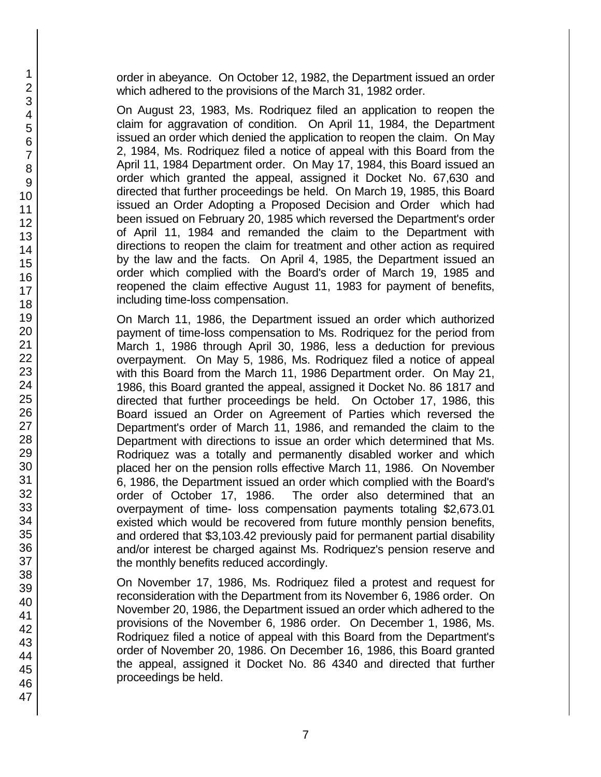order in abeyance. On October 12, 1982, the Department issued an order which adhered to the provisions of the March 31, 1982 order.

On August 23, 1983, Ms. Rodriquez filed an application to reopen the claim for aggravation of condition. On April 11, 1984, the Department issued an order which denied the application to reopen the claim. On May 2, 1984, Ms. Rodriquez filed a notice of appeal with this Board from the April 11, 1984 Department order. On May 17, 1984, this Board issued an order which granted the appeal, assigned it Docket No. 67,630 and directed that further proceedings be held. On March 19, 1985, this Board issued an Order Adopting a Proposed Decision and Order which had been issued on February 20, 1985 which reversed the Department's order of April 11, 1984 and remanded the claim to the Department with directions to reopen the claim for treatment and other action as required by the law and the facts. On April 4, 1985, the Department issued an order which complied with the Board's order of March 19, 1985 and reopened the claim effective August 11, 1983 for payment of benefits, including time-loss compensation.

On March 11, 1986, the Department issued an order which authorized payment of time-loss compensation to Ms. Rodriquez for the period from March 1, 1986 through April 30, 1986, less a deduction for previous overpayment. On May 5, 1986, Ms. Rodriquez filed a notice of appeal with this Board from the March 11, 1986 Department order. On May 21, 1986, this Board granted the appeal, assigned it Docket No. 86 1817 and directed that further proceedings be held. On October 17, 1986, this Board issued an Order on Agreement of Parties which reversed the Department's order of March 11, 1986, and remanded the claim to the Department with directions to issue an order which determined that Ms. Rodriquez was a totally and permanently disabled worker and which placed her on the pension rolls effective March 11, 1986. On November 6, 1986, the Department issued an order which complied with the Board's order of October 17, 1986. The order also determined that an overpayment of time- loss compensation payments totaling \$2,673.01 existed which would be recovered from future monthly pension benefits, and ordered that \$3,103.42 previously paid for permanent partial disability and/or interest be charged against Ms. Rodriquez's pension reserve and the monthly benefits reduced accordingly.

On November 17, 1986, Ms. Rodriquez filed a protest and request for reconsideration with the Department from its November 6, 1986 order. On November 20, 1986, the Department issued an order which adhered to the provisions of the November 6, 1986 order. On December 1, 1986, Ms. Rodriquez filed a notice of appeal with this Board from the Department's order of November 20, 1986. On December 16, 1986, this Board granted the appeal, assigned it Docket No. 86 4340 and directed that further proceedings be held.